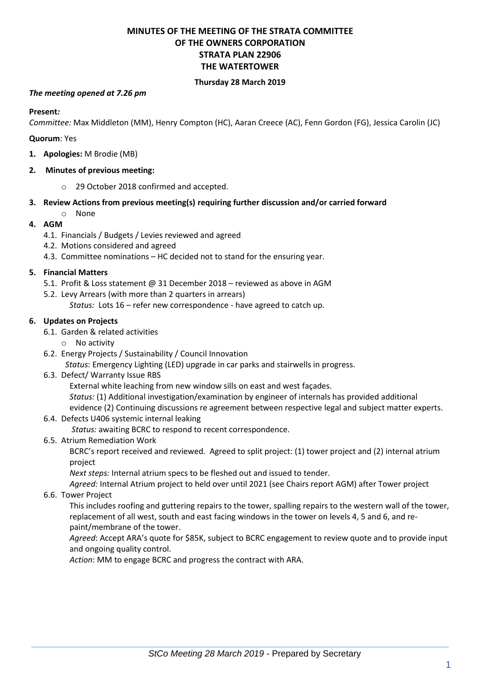# **MINUTES OF THE MEETING OF THE STRATA COMMITTEE OF THE OWNERS CORPORATION STRATA PLAN 22906 THE WATERTOWER**

### **Thursday 28 March 2019**

#### *The meeting opened at 7.26 pm*

**Present***:*

*Committee:* Max Middleton (MM), Henry Compton (HC), Aaran Creece (AC), Fenn Gordon (FG), Jessica Carolin (JC)

**Quorum**: Yes

**1. Apologies:** M Brodie (MB)

### **2. Minutes of previous meeting:**

- o 29 October 2018 confirmed and accepted.
- **3. Review Actions from previous meeting(s) requiring further discussion and/or carried forward**
	- o None

### **4. AGM**

- 4.1. Financials / Budgets / Levies reviewed and agreed
- 4.2. Motions considered and agreed
- 4.3. Committee nominations HC decided not to stand for the ensuring year.

### **5. Financial Matters**

- 5.1. Profit & Loss statement @ 31 December 2018 reviewed as above in AGM
- 5.2. Levy Arrears (with more than 2 quarters in arrears)
	- *Status:* Lots 16 refer new correspondence have agreed to catch up.

### **6. Updates on Projects**

- 6.1. Garden & related activities
	- o No activity
- 6.2. Energy Projects / Sustainability / Council Innovation

*Status*: Emergency Lighting (LED) upgrade in car parks and stairwells in progress.

6.3. Defect/ Warranty Issue RBS

External white leaching from new window sills on east and west façades.

*Status:* (1) Additional investigation/examination by engineer of internals has provided additional evidence (2) Continuing discussions re agreement between respective legal and subject matter experts.

6.4. Defects U406 systemic internal leaking

*Status:* awaiting BCRC to respond to recent correspondence.

6.5. Atrium Remediation Work

BCRC's report received and reviewed. Agreed to split project: (1) tower project and (2) internal atrium project

*Next steps:* Internal atrium specs to be fleshed out and issued to tender.

*Agreed:* Internal Atrium project to held over until 2021 (see Chairs report AGM) after Tower project

6.6. Tower Project

This includes roofing and guttering repairs to the tower, spalling repairs to the western wall of the tower, replacement of all west, south and east facing windows in the tower on levels 4, 5 and 6, and repaint/membrane of the tower.

*Agreed*: Accept ARA's quote for \$85K, subject to BCRC engagement to review quote and to provide input and ongoing quality control.

*Action*: MM to engage BCRC and progress the contract with ARA.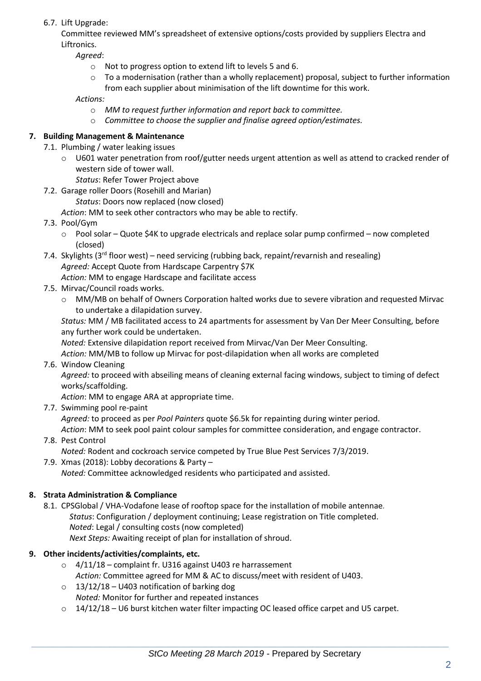# 6.7. Lift Upgrade:

Committee reviewed MM's spreadsheet of extensive options/costs provided by suppliers Electra and Liftronics.

*Agreed*:

- o Not to progress option to extend lift to levels 5 and 6.
- $\circ$  To a modernisation (rather than a wholly replacement) proposal, subject to further information from each supplier about minimisation of the lift downtime for this work.

*Actions:* 

- o *MM to request further information and report back to committee.*
- o *Committee to choose the supplier and finalise agreed option/estimates.*

# **7. Building Management & Maintenance**

- 7.1. Plumbing / water leaking issues
	- o U601 water penetration from roof/gutter needs urgent attention as well as attend to cracked render of western side of tower wall.
		- *Status*: Refer Tower Project above
- 7.2. Garage roller Doors (Rosehill and Marian)

*Status*: Doors now replaced (now closed)

- *Action*: MM to seek other contractors who may be able to rectify.
- 7.3. Pool/Gym
	- o Pool solar Quote \$4K to upgrade electricals and replace solar pump confirmed now completed (closed)
- 7.4. Skylights (3<sup>rd</sup> floor west) need servicing (rubbing back, repaint/revarnish and resealing) *Agreed:* Accept Quote from Hardscape Carpentry \$7K *Action:* MM to engage Hardscape and facilitate access
- 7.5. Mirvac/Council roads works.
	- o MM/MB on behalf of Owners Corporation halted works due to severe vibration and requested Mirvac to undertake a dilapidation survey.

*Status:* MM / MB facilitated access to 24 apartments for assessment by Van Der Meer Consulting, before any further work could be undertaken.

*Noted:* Extensive dilapidation report received from Mirvac/Van Der Meer Consulting.

*Action:* MM/MB to follow up Mirvac for post-dilapidation when all works are completed

7.6. Window Cleaning

*Agreed:* to proceed with abseiling means of cleaning external facing windows, subject to timing of defect works/scaffolding.

*Action*: MM to engage ARA at appropriate time.

7.7. Swimming pool re-paint

*Agreed:* to proceed as per *Pool Painters* quote \$6.5k for repainting during winter period.

*Action*: MM to seek pool paint colour samples for committee consideration, and engage contractor.

7.8. Pest Control

*Noted:* Rodent and cockroach service competed by True Blue Pest Services 7/3/2019.

7.9. Xmas (2018): Lobby decorations & Party – *Noted:* Committee acknowledged residents who participated and assisted.

# **8. Strata Administration & Compliance**

8.1. CPSGlobal / VHA-Vodafone lease of rooftop space for the installation of mobile antennae*. Status*: Configuration / deployment continuing; Lease registration on Title completed. *Noted*: Legal / consulting costs (now completed) *Next Steps:* Awaiting receipt of plan for installation of shroud.

### **9. Other incidents/activities/complaints, etc.**

- $\circ$  4/11/18 complaint fr. U316 against U403 re harrassement *Action:* Committee agreed for MM & AC to discuss/meet with resident of U403.
- $\circ$  13/12/18 U403 notification of barking dog *Noted:* Monitor for further and repeated instances
- $\circ$  14/12/18 U6 burst kitchen water filter impacting OC leased office carpet and U5 carpet.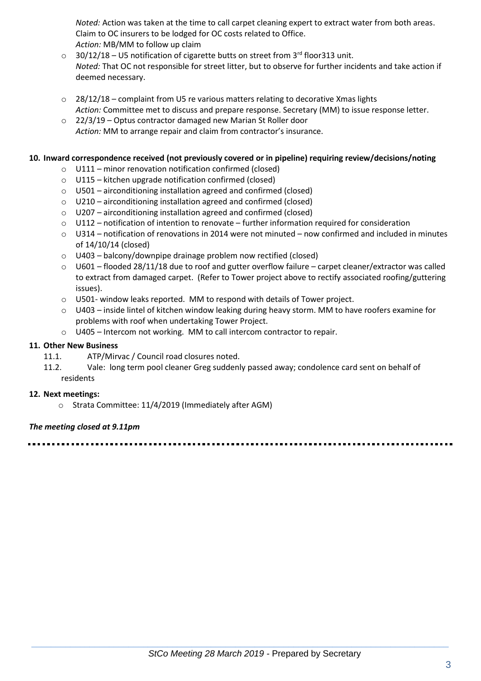*Noted:* Action was taken at the time to call carpet cleaning expert to extract water from both areas. Claim to OC insurers to be lodged for OC costs related to Office. *Action:* MB/MM to follow up claim

- $\circ$  30/12/18 U5 notification of cigarette butts on street from 3<sup>rd</sup> floor313 unit. *Noted:* That OC not responsible for street litter, but to observe for further incidents and take action if deemed necessary.
- $\circ$  28/12/18 complaint from U5 re various matters relating to decorative Xmas lights *Action:* Committee met to discuss and prepare response. Secretary (MM) to issue response letter.
- o 22/3/19 Optus contractor damaged new Marian St Roller door *Action:* MM to arrange repair and claim from contractor's insurance.

### **10. Inward correspondence received (not previously covered or in pipeline) requiring review/decisions/noting**

- o U111 minor renovation notification confirmed (closed)
- o U115 kitchen upgrade notification confirmed (closed)
- $\circ$  U501 airconditioning installation agreed and confirmed (closed)
- o U210 airconditioning installation agreed and confirmed (closed)
- o U207 airconditioning installation agreed and confirmed (closed)
- o U112 notification of intention to renovate further information required for consideration
- $\circ$  U314 notification of renovations in 2014 were not minuted now confirmed and included in minutes of 14/10/14 (closed)
- o U403 balcony/downpipe drainage problem now rectified (closed)
- $\circ$  U601 flooded 28/11/18 due to roof and gutter overflow failure carpet cleaner/extractor was called to extract from damaged carpet. (Refer to Tower project above to rectify associated roofing/guttering issues).
- $\circ$  U501- window leaks reported. MM to respond with details of Tower project.
- o U403 inside lintel of kitchen window leaking during heavy storm. MM to have roofers examine for problems with roof when undertaking Tower Project.
- o U405 Intercom not working. MM to call intercom contractor to repair.

## **11. Other New Business**

- 11.1. ATP/Mirvac / Council road closures noted.
- 11.2. Vale: long term pool cleaner Greg suddenly passed away; condolence card sent on behalf of residents

### **12. Next meetings:**

o Strata Committee: 11/4/2019 (Immediately after AGM)

### *The meeting closed at 9.11pm*